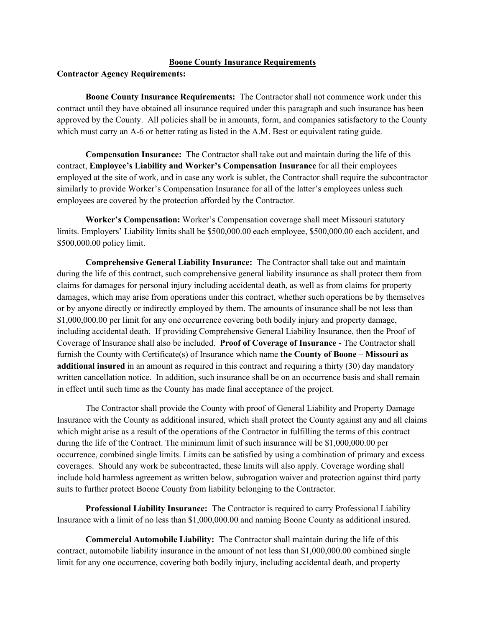## **Boone County Insurance Requirements**

**Contractor Agency Requirements:** 

**Boone County Insurance Requirements:** The Contractor shall not commence work under this contract until they have obtained all insurance required under this paragraph and such insurance has been approved by the County. All policies shall be in amounts, form, and companies satisfactory to the County which must carry an A-6 or better rating as listed in the A.M. Best or equivalent rating guide.

**Compensation Insurance:** The Contractor shall take out and maintain during the life of this contract, **Employee's Liability and Worker's Compensation Insurance** for all their employees employed at the site of work, and in case any work is sublet, the Contractor shall require the subcontractor similarly to provide Worker's Compensation Insurance for all of the latter's employees unless such employees are covered by the protection afforded by the Contractor.

**Worker's Compensation:** Worker's Compensation coverage shall meet Missouri statutory limits. Employers' Liability limits shall be \$500,000.00 each employee, \$500,000.00 each accident, and \$500,000.00 policy limit.

**Comprehensive General Liability Insurance:** The Contractor shall take out and maintain during the life of this contract, such comprehensive general liability insurance as shall protect them from claims for damages for personal injury including accidental death, as well as from claims for property damages, which may arise from operations under this contract, whether such operations be by themselves or by anyone directly or indirectly employed by them. The amounts of insurance shall be not less than \$1,000,000.00 per limit for any one occurrence covering both bodily injury and property damage, including accidental death. If providing Comprehensive General Liability Insurance, then the Proof of Coverage of Insurance shall also be included. **Proof of Coverage of Insurance -** The Contractor shall furnish the County with Certificate(s) of Insurance which name **the County of Boone – Missouri as additional insured** in an amount as required in this contract and requiring a thirty (30) day mandatory written cancellation notice. In addition, such insurance shall be on an occurrence basis and shall remain in effect until such time as the County has made final acceptance of the project.

The Contractor shall provide the County with proof of General Liability and Property Damage Insurance with the County as additional insured, which shall protect the County against any and all claims which might arise as a result of the operations of the Contractor in fulfilling the terms of this contract during the life of the Contract. The minimum limit of such insurance will be \$1,000,000.00 per occurrence, combined single limits. Limits can be satisfied by using a combination of primary and excess coverages. Should any work be subcontracted, these limits will also apply. Coverage wording shall include hold harmless agreement as written below, subrogation waiver and protection against third party suits to further protect Boone County from liability belonging to the Contractor.

**Professional Liability Insurance:** The Contractor is required to carry Professional Liability Insurance with a limit of no less than \$1,000,000.00 and naming Boone County as additional insured.

**Commercial Automobile Liability:** The Contractor shall maintain during the life of this contract, automobile liability insurance in the amount of not less than \$1,000,000.00 combined single limit for any one occurrence, covering both bodily injury, including accidental death, and property